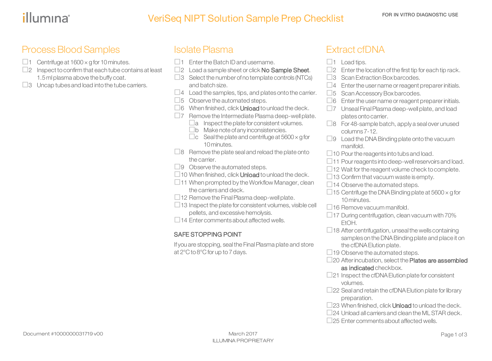# VeriSeq NIPT Solution Sample Prep Checklist FOR IN VITRO DIAGNOSTIC USE

## Process Blood Samples

- $\Box$ 1 Centrifuge at 1600  $\times$  g for 10 minutes.
- $\square$ 2 Inspect to confirm that each tube contains at least 1.5 ml plasma above the buffy coat.
- $\square$ 3 Uncap tubes and load into the tube carriers.

## Isolate Plasma

- $\square$ 1 Enter the Batch ID and username.
- $\square$ 2 Load a sample sheet or click No Sample Sheet.
- $\Box$ 3 Select the number of no template controls (NTCs) and batch size.
- $\Box$ 4 Load the samples, tips, and plates onto the carrier.
- $\square$ 5 Observe the automated steps.
- $\Box$ 6 When finished, click **Unload** to unload the deck.
- $\square$ 7 Remove the Intermediate Plasma deep-well plate.
	- $\Box a$  Inspect the plate for consistent volumes.
	- $\square$ b Make note of any inconsistencies.
	- $\Box$ c Seal the plate and centrifuge at 5600  $\times$  g for 10 minutes.
- $\Box$ 8 Remove the plate seal and reload the plate onto the carrier.
- $\Box$ 9 Observe the automated steps.
- $\Box$  10 When finished, click **Unload** to unload the deck.
- $\Box$ 11 When prompted by the Workflow Manager, clean the carriers and deck.
- $\Box$  12 Remove the Final Plasma deep-well plate.
- $\Box$ 13 Inspect the plate for consistent volumes, visible cell pellets, and excessive hemolysis.
- $\Box$ 14 Enter comments about affected wells.

#### SAFE STOPPING POINT

If you are stopping, sealthe FinalPlasma plate and store at 2°C to 8°C for up to 7 days.

## Extract cfDNA

- $\Box$ 1 Load tips.
- $\square$ 2 Enter the location of the first tip for each tip rack.
- $\Box$ 3 Scan Extraction Box barcodes.
- $\square$ 4 Enter the user name or reagent preparer initials.
- $\square$ 5 Scan Accessory Box barcodes.
- $\Box$ 6 Enter the user name or reagent preparer initials.
- $\square$ 7 Unseal Final Plasma deep-well plate, and load plates onto carrier.
- $\Box$ 8 For 48-sample batch, apply a seal over unused columns7-12.
- $\Box$ 9 Load the DNA Binding plate onto the vacuum manifold.
- $\Box$  10 Pour the reagents into tubs and load.
- $\Box$ 11 Pour reagents into deep-well reservoirs and load.
- $\Box$  12 Wait for the reagent volume check to complete.
- $\Box$ 13 Confirm that vacuum waste is empty.
- $\Box$ 14 Observe the automated steps.
- $\Box$  15 Centrifuge the DNA Binding plate at 5600  $\times$  g for 10 minutes.
- $\Box$ 16 Remove vacuum manifold.
- $\Box$  17 During centrifugation, clean vacuum with 70% EtOH.
- $\Box$  18 After centrifugation, unseal the wells containing samples on the DNA Binding plate and place it on the cfDNA Elution plate.
- $\Box$  19 Observe the automated steps.
- $\square$ 20 After incubation, select the **Plates are assembled** as indicated checkbox.
- $\square$ 21 Inspect the cfDNA Elution plate for consistent volumes.
- $\Box$ 22 Seal and retain the cfDNA Elution plate for library preparation.
- $\square$ 23 When finished, click **Unload** to unload the deck.
- $\square$ 24 Unload all carriers and clean the ML STAR deck.
- $\square$ 25 Enter comments about affected wells.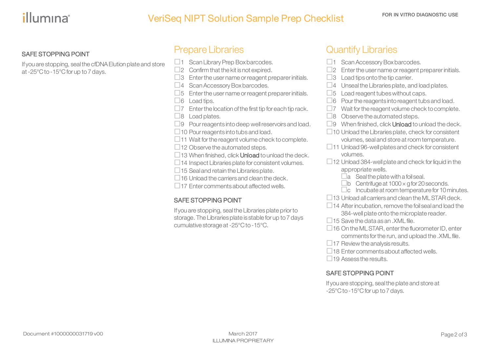# VeriSeq NIPT Solution Sample Prep Checklist FOR IN VITRO DIAGNOSTIC USE

#### SAFE STOPPING POINT

If you are stopping, sealthe cfDNAElution plate and store at-25°C to -15°Cfor up to7days.

### Prepare Libraries

- $\Box$ 1 Scan Library Prep Box barcodes.
- $\square$ 2 Confirm that the kit is not expired.
- $\square$ 3 Enter the user name or reagent preparer initials.

 $\Box$ 4 Scan Accessory Box barcodes.

 $\square$ 5 Enter the user name or reagent preparer initials.

 $\Box 6$  Load tips.

 $\square$ 7 Enter the location of the first tip for each tip rack.

 $\Box$ 8 Load plates.

 $\Box$ 9 Pour reagents into deep well reservoirs and load.

 $\Box$ 10 Pour reagents into tubs and load.

 $\Box$ 11 Wait for the reagent volume check to complete.

 $\Box$ 12 Observe the automated steps.

 $\Box$ 13 When finished, click **Unload** to unload the deck.

 $\Box$ 14 Inspect Libraries plate for consistent volumes.

 $\Box$ 15 Seal and retain the Libraries plate.

 $\Box$  16 Unload the carriers and clean the deck.

 $\Box$ 17 Enter comments about affected wells.

#### SAFE STOPPING POINT

If you are stopping, seal the Libraries plate prior to storage. The Libraries plate is stable for up to 7 days cumulative storage at-25°C to -15°C.

## Quantify Libraries

- $\Box$ 1 Scan Accessory Box barcodes.  $\square$ 2 Enter the user name or reagent preparer initials.  $\Box$ 3 Load tips onto the tip carrier.  $\square$ 4 Unseal the Libraries plate, and load plates.  $\square$ 5 Load reagent tubes without caps.  $\Box$ 6 Pour the reagents into reagent tubs and load.  $\square$ 7 Wait for the reagent volume check to complete.  $\Box$ 8 Observe the automated steps.  $\square$ 9 When finished, click **Unload** to unload the deck.  $\Box$  10 Unload the Libraries plate, check for consistent volumes, seal and store at room temperature.  $\Box$ 11 Unload 96-well plates and check for consistent volumes.  $\Box$ 12 Unload 384-well plate and check for liquid in the appropriate wells.  $\Box$ a Seal the plate with a foil seal.  $\square$ b Centrifuge at 1000  $\times$  g for 20 seconds.  $\Box$ c Incubate at room temperature for 10 minutes.  $\Box$ 13 Unload all carriers and clean the ML STAR deck.  $\Box$  14 After incubation, remove the foil seal and load the 384-well plate onto the microplate reader.  $\Box$ 15 Save the data as an . XML file.
- $\Box$ 16 On the ML STAR, enter the fluorometer ID, enter comments forthe run, and upload the .XML file.
- $\Box$ 17 Review the analysis results.
- $\Box$  18 Enter comments about affected wells.

 $\Box$  19 Assess the results.

#### SAFE STOPPING POINT

If you are stopping, sealthe plate and store at -25°C to -15°C for up to 7 days.